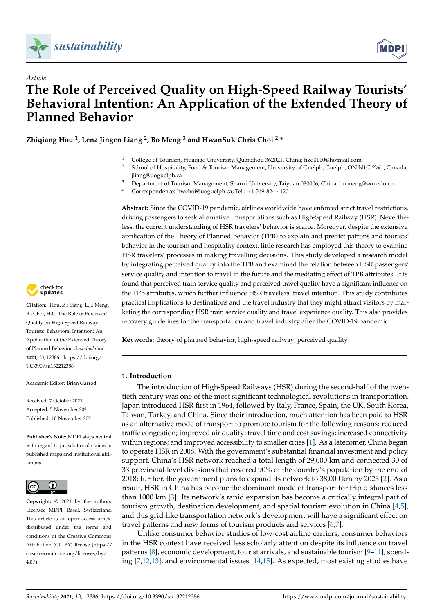



# *Article* **The Role of Perceived Quality on High-Speed Railway Tourists' Behavioral Intention: An Application of the Extended Theory of Planned Behavior**

**Zhiqiang Hou <sup>1</sup> , Lena Jingen Liang <sup>2</sup> , Bo Meng <sup>3</sup> and HwanSuk Chris Choi 2,\***

- <sup>1</sup> College of Tourism, Huaqiao University, Quanzhou 362021, China; hzq0110@hotmail.com
- <sup>2</sup> School of Hospitality, Food & Tourism Management, University of Guelph, Guelph, ON N1G 2W1, Canada; jliang@uoguelph.ca
- <sup>3</sup> Department of Tourism Management, Shanxi University, Taiyuan 030006, China; bo.meng@sxu.edu.cn
- **\*** Correspondence: hwchoi@uoguelph.ca; Tel.: +1-519-824-4120

**Abstract:** Since the COVID-19 pandemic, airlines worldwide have enforced strict travel restrictions, driving passengers to seek alternative transportations such as High-Speed Railway (HSR). Nevertheless, the current understanding of HSR travelers' behavior is scarce. Moreover, despite the extensive application of the Theory of Planned Behavior (TPB) to explain and predict patrons and tourists' behavior in the tourism and hospitality context, little research has employed this theory to examine HSR travelers' processes in making travelling decisions. This study developed a research model by integrating perceived quality into the TPB and examined the relation between HSR passengers' service quality and intention to travel in the future and the mediating effect of TPB attributes. It is found that perceived train service quality and perceived travel quality have a significant influence on the TPB attributes, which further influence HSR travelers' travel intention. This study contributes practical implications to destinations and the travel industry that they might attract visitors by marketing the corresponding HSR train service quality and travel experience quality. This also provides recovery guidelines for the transportation and travel industry after the COVID-19 pandemic.

**Keywords:** theory of planned behavior; high-speed railway; perceived quality

### **1. Introduction**

The introduction of High-Speed Railways (HSR) during the second-half of the twentieth century was one of the most significant technological revolutions in transportation. Japan introduced HSR first in 1964, followed by Italy, France, Spain, the UK, South Korea, Taiwan, Turkey, and China. Since their introduction, much attention has been paid to HSR as an alternative mode of transport to promote tourism for the following reasons: reduced traffic congestion; improved air quality; travel time and cost savings; increased connectivity within regions; and improved accessibility to smaller cities [\[1\]](#page-12-0). As a latecomer, China began to operate HSR in 2008. With the government's substantial financial investment and policy support, China's HSR network reached a total length of 29,000 km and connected 30 of 33 provincial-level divisions that covered 90% of the country's population by the end of 2018; further, the government plans to expand its network to 38,000 km by 2025 [\[2\]](#page-12-1). As a result, HSR in China has become the dominant mode of transport for trip distances less than 1000 km [\[3\]](#page-12-2). Its network's rapid expansion has become a critically integral part of tourism growth, destination development, and spatial tourism evolution in China [\[4,](#page-12-3)[5\]](#page-12-4), and this grid-like transportation network's development will have a significant effect on travel patterns and new forms of tourism products and services [\[6](#page-12-5)[,7\]](#page-12-6).

Unlike consumer behavior studies of low-cost airline carriers, consumer behaviors in the HSR context have received less scholarly attention despite its influence on travel patterns [\[8\]](#page-12-7), economic development, tourist arrivals, and sustainable tourism [\[9](#page-12-8)[–11\]](#page-12-9), spending [\[7](#page-12-6)[,12](#page-12-10)[,13\]](#page-12-11), and environmental issues [\[14](#page-12-12)[,15\]](#page-12-13). As expected, most existing studies have



**Citation:** Hou, Z.; Liang, L.J.; Meng, B.; Choi, H.C. The Role of Perceived Quality on High-Speed Railway Tourists' Behavioral Intention: An Application of the Extended Theory of Planned Behavior. *Sustainability* **2021**, *13*, 12386. [https://doi.org/](https://doi.org/10.3390/su132212386) [10.3390/su132212386](https://doi.org/10.3390/su132212386)

Academic Editor: Brian Garrod

Received: 7 October 2021 Accepted: 5 November 2021 Published: 10 November 2021

**Publisher's Note:** MDPI stays neutral with regard to jurisdictional claims in published maps and institutional affiliations.



**Copyright:** © 2021 by the authors. Licensee MDPI, Basel, Switzerland. This article is an open access article distributed under the terms and conditions of the Creative Commons Attribution (CC BY) license (https:/[/](https://creativecommons.org/licenses/by/4.0/) [creativecommons.org/licenses/by/](https://creativecommons.org/licenses/by/4.0/)  $4.0/$ ).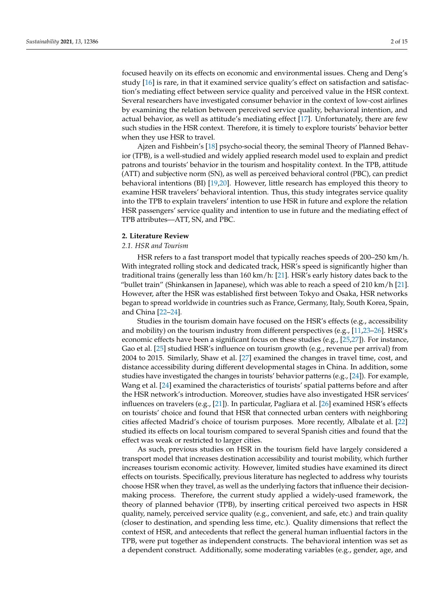focused heavily on its effects on economic and environmental issues. Cheng and Deng's study [\[16\]](#page-12-14) is rare, in that it examined service quality's effect on satisfaction and satisfaction's mediating effect between service quality and perceived value in the HSR context. Several researchers have investigated consumer behavior in the context of low-cost airlines by examining the relation between perceived service quality, behavioral intention, and actual behavior, as well as attitude's mediating effect [\[17\]](#page-12-15). Unfortunately, there are few such studies in the HSR context. Therefore, it is timely to explore tourists' behavior better when they use HSR to travel.

Ajzen and Fishbein's [\[18\]](#page-12-16) psycho-social theory, the seminal Theory of Planned Behavior (TPB), is a well-studied and widely applied research model used to explain and predict patrons and tourists' behavior in the tourism and hospitality context. In the TPB, attitude (ATT) and subjective norm (SN), as well as perceived behavioral control (PBC), can predict behavioral intentions (BI) [\[19](#page-12-17)[,20\]](#page-13-0). However, little research has employed this theory to examine HSR travelers' behavioral intention. Thus, this study integrates service quality into the TPB to explain travelers' intention to use HSR in future and explore the relation HSR passengers' service quality and intention to use in future and the mediating effect of TPB attributes—ATT, SN, and PBC.

## **2. Literature Review**

#### *2.1. HSR and Tourism*

HSR refers to a fast transport model that typically reaches speeds of 200–250 km/h. With integrated rolling stock and dedicated track, HSR's speed is significantly higher than traditional trains (generally less than 160 km/h: [\[21\]](#page-13-1). HSR's early history dates back to the "bullet train" (Shinkansen in Japanese), which was able to reach a speed of 210 km/h [\[21\]](#page-13-1). However, after the HSR was established first between Tokyo and Osaka, HSR networks began to spread worldwide in countries such as France, Germany, Italy, South Korea, Spain, and China [\[22–](#page-13-2)[24\]](#page-13-3).

Studies in the tourism domain have focused on the HSR's effects (e.g., accessibility and mobility) on the tourism industry from different perspectives (e.g., [\[11](#page-12-9)[,23](#page-13-4)[–26\]](#page-13-5). HSR's economic effects have been a significant focus on these studies (e.g., [\[25](#page-13-6)[,27\]](#page-13-7)). For instance, Gao et al. [\[25\]](#page-13-6) studied HSR's influence on tourism growth (e.g., revenue per arrival) from 2004 to 2015. Similarly, Shaw et al. [\[27\]](#page-13-7) examined the changes in travel time, cost, and distance accessibility during different developmental stages in China. In addition, some studies have investigated the changes in tourists' behavior patterns (e.g., [\[24\]](#page-13-3)). For example, Wang et al. [\[24\]](#page-13-3) examined the characteristics of tourists' spatial patterns before and after the HSR network's introduction. Moreover, studies have also investigated HSR services' influences on travelers (e.g., [\[21\]](#page-13-1)). In particular, Pagliara et al. [\[26\]](#page-13-5) examined HSR's effects on tourists' choice and found that HSR that connected urban centers with neighboring cities affected Madrid's choice of tourism purposes. More recently, Albalate et al. [\[22\]](#page-13-2) studied its effects on local tourism compared to several Spanish cities and found that the effect was weak or restricted to larger cities.

As such, previous studies on HSR in the tourism field have largely considered a transport model that increases destination accessibility and tourist mobility, which further increases tourism economic activity. However, limited studies have examined its direct effects on tourists. Specifically, previous literature has neglected to address why tourists choose HSR when they travel, as well as the underlying factors that influence their decisionmaking process. Therefore, the current study applied a widely-used framework, the theory of planned behavior (TPB), by inserting critical perceived two aspects in HSR quality, namely, perceived service quality (e.g., convenient, and safe, etc.) and train quality (closer to destination, and spending less time, etc.). Quality dimensions that reflect the context of HSR, and antecedents that reflect the general human influential factors in the TPB, were put together as independent constructs. The behavioral intention was set as a dependent construct. Additionally, some moderating variables (e.g., gender, age, and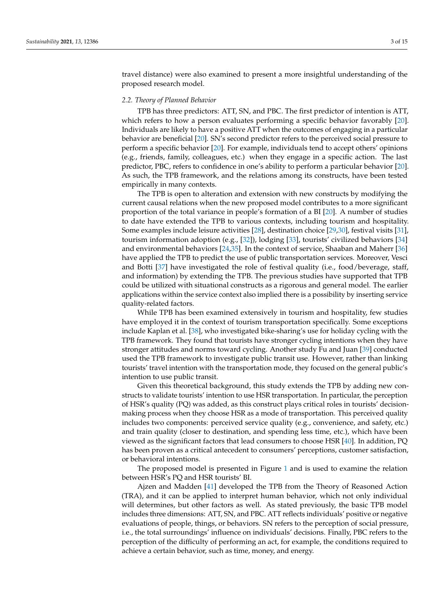travel distance) were also examined to present a more insightful understanding of the proposed research model.

#### *2.2. Theory of Planned Behavior*

TPB has three predictors: ATT, SN, and PBC. The first predictor of intention is ATT, which refers to how a person evaluates performing a specific behavior favorably [\[20\]](#page-13-0). Individuals are likely to have a positive ATT when the outcomes of engaging in a particular behavior are beneficial [\[20\]](#page-13-0). SN's second predictor refers to the perceived social pressure to perform a specific behavior [\[20\]](#page-13-0). For example, individuals tend to accept others' opinions (e.g., friends, family, colleagues, etc.) when they engage in a specific action. The last predictor, PBC, refers to confidence in one's ability to perform a particular behavior [\[20\]](#page-13-0). As such, the TPB framework, and the relations among its constructs, have been tested empirically in many contexts.

The TPB is open to alteration and extension with new constructs by modifying the current causal relations when the new proposed model contributes to a more significant proportion of the total variance in people's formation of a BI [\[20\]](#page-13-0). A number of studies to date have extended the TPB to various contexts, including tourism and hospitality. Some examples include leisure activities [\[28\]](#page-13-8), destination choice [\[29](#page-13-9)[,30\]](#page-13-10), festival visits [\[31\]](#page-13-11), tourism information adoption (e.g., [\[32\]](#page-13-12)), lodging [\[33\]](#page-13-13), tourists' civilized behaviors [\[34\]](#page-13-14) and environmental behaviors [\[24,](#page-13-3)[35\]](#page-13-15). In the context of service, Shaaban and Maherr [\[36\]](#page-13-16) have applied the TPB to predict the use of public transportation services. Moreover, Vesci and Botti [\[37\]](#page-13-17) have investigated the role of festival quality (i.e., food/beverage, staff, and information) by extending the TPB. The previous studies have supported that TPB could be utilized with situational constructs as a rigorous and general model. The earlier applications within the service context also implied there is a possibility by inserting service quality-related factors.

While TPB has been examined extensively in tourism and hospitality, few studies have employed it in the context of tourism transportation specifically. Some exceptions include Kaplan et al. [\[38\]](#page-13-18), who investigated bike-sharing's use for holiday cycling with the TPB framework. They found that tourists have stronger cycling intentions when they have stronger attitudes and norms toward cycling. Another study Fu and Juan [\[39\]](#page-13-19) conducted used the TPB framework to investigate public transit use. However, rather than linking tourists' travel intention with the transportation mode, they focused on the general public's intention to use public transit.

Given this theoretical background, this study extends the TPB by adding new constructs to validate tourists' intention to use HSR transportation. In particular, the perception of HSR's quality (PQ) was added, as this construct plays critical roles in tourists' decisionmaking process when they choose HSR as a mode of transportation. This perceived quality includes two components: perceived service quality (e.g., convenience, and safety, etc.) and train quality (closer to destination, and spending less time, etc.), which have been viewed as the significant factors that lead consumers to choose HSR [\[40\]](#page-13-20). In addition, PQ has been proven as a critical antecedent to consumers' perceptions, customer satisfaction, or behavioral intentions.

The proposed model is presented in Figure [1](#page-3-0) and is used to examine the relation between HSR's PQ and HSR tourists' BI.

Ajzen and Madden [\[41\]](#page-13-21) developed the TPB from the Theory of Reasoned Action (TRA), and it can be applied to interpret human behavior, which not only individual will determines, but other factors as well. As stated previously, the basic TPB model includes three dimensions: ATT, SN, and PBC. ATT reflects individuals' positive or negative evaluations of people, things, or behaviors. SN refers to the perception of social pressure, i.e., the total surroundings' influence on individuals' decisions. Finally, PBC refers to the perception of the difficulty of performing an act, for example, the conditions required to achieve a certain behavior, such as time, money, and energy.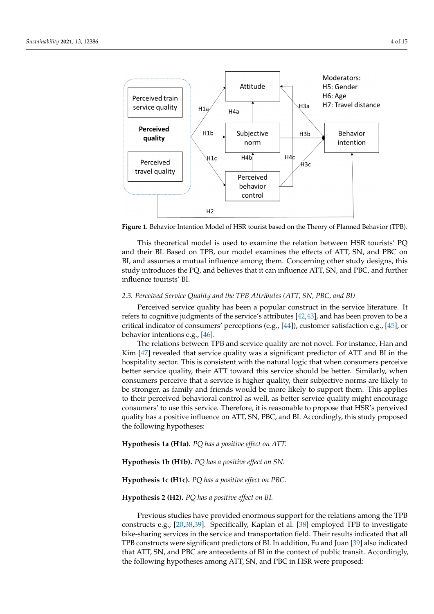<span id="page-3-0"></span>

**Figure 1.** Behavior Intention Model of HSR tourist based on the Theory of Planned Behavior (TPB)**. Figure 1.** Behavior Intention Model of HSR tourist based on the Theory of Planned Behavior (TPB).

This theoretical model is used to examine the relation between HSR tourists' PQ and their BI. Based on TPB, our model examines the effects of ATT, SN, and PBC on  $B$ , and assumes a mutual influence among them. Concerning other study designs, this model is  $\overline{B}$ study introduces the PQ, and believes that it can influence ATT, SN, and PBC, and further evaluations of perceptions of perceptions of perception of social pressure,  $\frac{1}{2}$ influence tourists' BI.

## 2.3. Perceived Service Quality and the TPB Attributes (ATT, SN, PBC, and BI)

Perceived service quality has been a popular construct in the service literature. It refers to cognitive judgments of the service's attributes [\[42](#page-13-22)[,43\]](#page-13-23), and has been proven to be a  $T_{\rm tot}$  and the relation between  $T_{\rm tot}$  model is used to examine the relation between  $T_{\rm tot}$ critical indicator of consumers' perceptions (e.g., [\[44\]](#page-13-24)), customer satisfaction e.g., [\[45\]](#page-13-25), or<br>helectionistications on BIG behavior intentions e.g., [\[46\]](#page-13-26).

The relations  $c.g.,$  [10].<br>The relations between TPB and service quality are not novel. For instance, Han and Kim [\[47\]](#page-13-27) revealed that service quality was a significant predictor of ATT and BI in the Fig. The velocity and set the quality was a significant predictor of  $III$  fails of it are hospitality sector. This is consistent with the natural logic that when consumers perceive *2.3. Perceived Service Quality and the TPB Attributes (ATT, SN, PBC, and BI)*  consumers perceive that a service is higher quality, their subjective norms are likely to be stronger, as family and friends would be more likely to support them. This applies to their perceived behavioral control as well, as better service quality might encourage consumers' to use this service. Therefore, it is reasonable to propose that HSR's perceived quality has a positive influence on ATT, SN, PBC, and BI. Accordingly, this study proposed The relations between TPB and service quality are not novel. For instance, Han and the following hypotheses: better service quality, their ATT toward this service should be better. Similarly, when

**Hypothesis 1a (H1a).** *PQ has a positive effect on ATT.* 

**Hypothesis 1b (H1b).** *PQ has a positive effect on SN.* 

## **Hypothesis 1c (H1c).** *PQ has a positive effect on PBC.*

## **Hypothesis 2 (H2).** *PQ has a positive effect on BI*.

following hypotheses: constructs e.g., [\[20,](#page-13-0)[38,](#page-13-18)[39\]](#page-13-19). Specifically, Kaplan et al. [\[38\]](#page-13-18) employed TPB to investigate **Hypothesis 1b (H1b).** *PQ has a positive effect on SN.* TPB constructs were significant predictors of BI. In addition, Fu and Juan [\[39\]](#page-13-19) also indicated the following hypotheses among ATT, SN, and PBC in HSR were proposed: Previous studies have provided enormous support for the relations among the TPB bike-sharing services in the service and transportation field. Their results indicated that all that ATT, SN, and PBC are antecedents of BI in the context of public transit. Accordingly,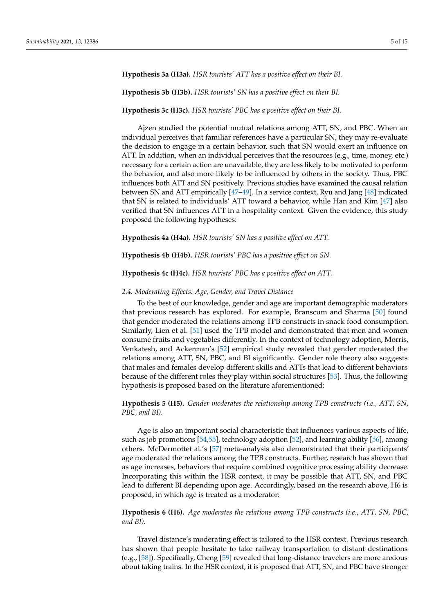#### **Hypothesis 3a (H3a).** *HSR tourists' ATT has a positive effect on their BI.*

**Hypothesis 3b (H3b).** *HSR tourists' SN has a positive effect on their BI.*

#### **Hypothesis 3c (H3c).** *HSR tourists' PBC has a positive effect on their BI.*

Ajzen studied the potential mutual relations among ATT, SN, and PBC. When an individual perceives that familiar references have a particular SN, they may re-evaluate the decision to engage in a certain behavior, such that SN would exert an influence on ATT. In addition, when an individual perceives that the resources (e.g., time, money, etc.) necessary for a certain action are unavailable, they are less likely to be motivated to perform the behavior, and also more likely to be influenced by others in the society. Thus, PBC influences both ATT and SN positively. Previous studies have examined the causal relation between SN and ATT empirically [\[47](#page-13-27)[–49\]](#page-13-28). In a service context, Ryu and Jang [\[48\]](#page-13-29) indicated that SN is related to individuals' ATT toward a behavior, while Han and Kim [\[47\]](#page-13-27) also verified that SN influences ATT in a hospitality context. Given the evidence, this study proposed the following hypotheses:

**Hypothesis 4a (H4a).** *HSR tourists' SN has a positive effect on ATT.*

**Hypothesis 4b (H4b).** *HSR tourists' PBC has a positive effect on SN.*

**Hypothesis 4c (H4c).** *HSR tourists' PBC has a positive effect on ATT.*

#### *2.4. Moderating Effects: Age, Gender, and Travel Distance*

To the best of our knowledge, gender and age are important demographic moderators that previous research has explored. For example, Branscum and Sharma [\[50\]](#page-14-0) found that gender moderated the relations among TPB constructs in snack food consumption. Similarly, Lien et al. [\[51\]](#page-14-1) used the TPB model and demonstrated that men and women consume fruits and vegetables differently. In the context of technology adoption, Morris, Venkatesh, and Ackerman's [\[52\]](#page-14-2) empirical study revealed that gender moderated the relations among ATT, SN, PBC, and BI significantly. Gender role theory also suggests that males and females develop different skills and ATTs that lead to different behaviors because of the different roles they play within social structures [\[53\]](#page-14-3). Thus, the following hypothesis is proposed based on the literature aforementioned:

**Hypothesis 5 (H5).** *Gender moderates the relationship among TPB constructs (i.e., ATT, SN, PBC, and BI).*

Age is also an important social characteristic that influences various aspects of life, such as job promotions [\[54,](#page-14-4)[55\]](#page-14-5), technology adoption [\[52\]](#page-14-2), and learning ability [\[56\]](#page-14-6), among others. McDermottet al.'s [\[57\]](#page-14-7) meta-analysis also demonstrated that their participants' age moderated the relations among the TPB constructs. Further, research has shown that as age increases, behaviors that require combined cognitive processing ability decrease. Incorporating this within the HSR context, it may be possible that ATT, SN, and PBC lead to different BI depending upon age. Accordingly, based on the research above, H6 is proposed, in which age is treated as a moderator:

## **Hypothesis 6 (H6).** *Age moderates the relations among TPB constructs (i.e., ATT, SN, PBC, and BI).*

Travel distance's moderating effect is tailored to the HSR context. Previous research has shown that people hesitate to take railway transportation to distant destinations (e.g., [\[58\]](#page-14-8)). Specifically, Cheng [\[59\]](#page-14-9) revealed that long-distance travelers are more anxious about taking trains. In the HSR context, it is proposed that ATT, SN, and PBC have stronger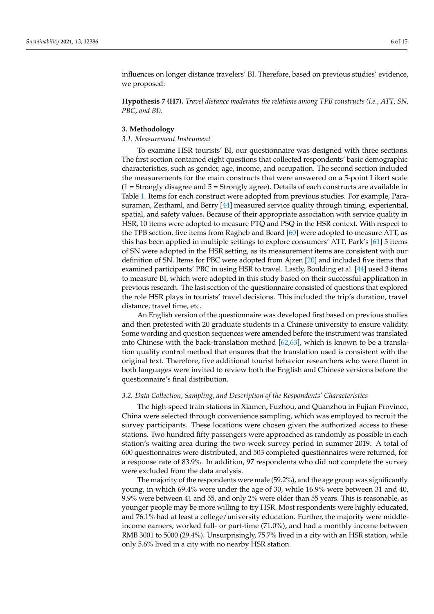influences on longer distance travelers' BI. Therefore, based on previous studies' evidence, we proposed:

**Hypothesis 7 (H7).** *Travel distance moderates the relations among TPB constructs (i.e., ATT, SN, PBC, and BI).*

#### **3. Methodology**

## *3.1. Measurement Instrument*

To examine HSR tourists' BI, our questionnaire was designed with three sections. The first section contained eight questions that collected respondents' basic demographic characteristics, such as gender, age, income, and occupation. The second section included the measurements for the main constructs that were answered on a 5-point Likert scale  $(1 =$  Strongly disagree and  $5 =$  Strongly agree). Details of each constructs are available in Table [1.](#page-6-0) Items for each construct were adopted from previous studies. For example, Parasuraman, Zeithaml, and Berry [\[44\]](#page-13-24) measured service quality through timing, experiential, spatial, and safety values. Because of their appropriate association with service quality in HSR, 10 items were adopted to measure PTQ and PSQ in the HSR context. With respect to the TPB section, five items from Ragheb and Beard [\[60\]](#page-14-10) were adopted to measure ATT, as this has been applied in multiple settings to explore consumers' ATT. Park's [\[61\]](#page-14-11) 5 items of SN were adopted in the HSR setting, as its measurement items are consistent with our definition of SN. Items for PBC were adopted from Ajzen [\[20\]](#page-13-0) and included five items that examined participants' PBC in using HSR to travel. Lastly, Boulding et al. [\[44\]](#page-13-24) used 3 items to measure BI, which were adopted in this study based on their successful application in previous research. The last section of the questionnaire consisted of questions that explored the role HSR plays in tourists' travel decisions. This included the trip's duration, travel distance, travel time, etc.

An English version of the questionnaire was developed first based on previous studies and then pretested with 20 graduate students in a Chinese university to ensure validity. Some wording and question sequences were amended before the instrument was translated into Chinese with the back-translation method [\[62](#page-14-12)[,63\]](#page-14-13), which is known to be a translation quality control method that ensures that the translation used is consistent with the original text. Therefore, five additional tourist behavior researchers who were fluent in both languages were invited to review both the English and Chinese versions before the questionnaire's final distribution.

## *3.2. Data Collection, Sampling, and Description of the Respondents' Characteristics*

The high-speed train stations in Xiamen, Fuzhou, and Quanzhou in Fujian Province, China were selected through convenience sampling, which was employed to recruit the survey participants. These locations were chosen given the authorized access to these stations. Two hundred fifty passengers were approached as randomly as possible in each station's waiting area during the two-week survey period in summer 2019. A total of 600 questionnaires were distributed, and 503 completed questionnaires were returned, for a response rate of 83.9%. In addition, 97 respondents who did not complete the survey were excluded from the data analysis.

The majority of the respondents were male (59.2%), and the age group was significantly young, in which 69.4% were under the age of 30, while 16.9% were between 31 and 40, 9.9% were between 41 and 55, and only 2% were older than 55 years. This is reasonable, as younger people may be more willing to try HSR. Most respondents were highly educated, and 76.1% had at least a college/university education. Further, the majority were middleincome earners, worked full- or part-time (71.0%), and had a monthly income between RMB 3001 to 5000 (29.4%). Unsurprisingly, 75.7% lived in a city with an HSR station, while only 5.6% lived in a city with no nearby HSR station.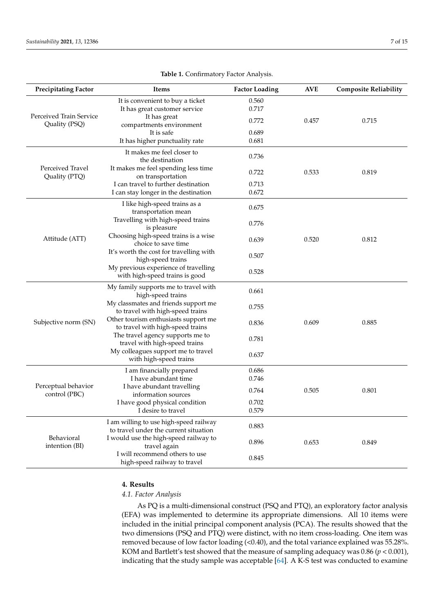<span id="page-6-0"></span>

| <b>Precipitating Factor</b>              | <b>Items</b>                                                                    | <b>Factor Loading</b> | <b>AVE</b> | <b>Composite Reliability</b> |
|------------------------------------------|---------------------------------------------------------------------------------|-----------------------|------------|------------------------------|
|                                          | It is convenient to buy a ticket<br>It has great customer service               | 0.560<br>0.717        |            |                              |
| Perceived Train Service<br>Quality (PSQ) | It has great<br>compartments environment                                        | 0.772                 | 0.457      | 0.715                        |
|                                          | It is safe                                                                      | 0.689                 |            |                              |
|                                          | It has higher punctuality rate                                                  | 0.681                 |            |                              |
|                                          | It makes me feel closer to<br>the destination                                   | 0.736                 |            |                              |
| Perceived Travel<br>Quality (PTQ)        | It makes me feel spending less time<br>on transportation                        | 0.722                 | 0.533      | 0.819                        |
|                                          | I can travel to further destination                                             | 0.713                 |            |                              |
|                                          | I can stay longer in the destination                                            | 0.672                 |            |                              |
|                                          | I like high-speed trains as a<br>transportation mean                            | 0.675                 |            |                              |
|                                          | Travelling with high-speed trains<br>is pleasure                                | 0.776                 |            |                              |
| Attitude (ATT)                           | Choosing high-speed trains is a wise<br>choice to save time                     | 0.639                 | 0.520      | 0.812                        |
|                                          | It's worth the cost for travelling with<br>high-speed trains                    | 0.507                 |            |                              |
|                                          | My previous experience of travelling<br>with high-speed trains is good          | 0.528                 |            |                              |
|                                          | My family supports me to travel with<br>high-speed trains                       | 0.661                 |            |                              |
|                                          | My classmates and friends support me<br>to travel with high-speed trains        | 0.755                 |            |                              |
| Subjective norm (SN)                     | Other tourism enthusiasts support me<br>to travel with high-speed trains        | 0.836                 | 0.609      | 0.885                        |
|                                          | The travel agency supports me to<br>travel with high-speed trains               | 0.781                 |            |                              |
|                                          | My colleagues support me to travel<br>with high-speed trains                    | 0.637                 |            |                              |
|                                          | I am financially prepared                                                       | 0.686                 |            |                              |
|                                          | I have abundant time                                                            | 0.746                 |            |                              |
| Perceptual behavior<br>control (PBC)     | I have abundant travelling<br>information sources                               | 0.764                 | 0.505      | 0.801                        |
|                                          | I have good physical condition<br>I desire to travel                            | 0.702<br>0.579        |            |                              |
|                                          | I am willing to use high-speed railway<br>to travel under the current situation | 0.883                 |            |                              |
| Behavioral<br>intention (BI)             | I would use the high-speed railway to<br>travel again                           | 0.896                 | 0.653      | 0.849                        |
|                                          | I will recommend others to use<br>high-speed railway to travel                  | 0.845                 |            |                              |

## **Table 1.** Confirmatory Factor Analysis.

#### **4. Results**

#### *4.1. Factor Analysis*

As PQ is a multi-dimensional construct (PSQ and PTQ), an exploratory factor analysis (EFA) was implemented to determine its appropriate dimensions. All 10 items were included in the initial principal component analysis (PCA). The results showed that the two dimensions (PSQ and PTQ) were distinct, with no item cross-loading. One item was removed because of low factor loading (<0.40), and the total variance explained was 55.28%. KOM and Bartlett's test showed that the measure of sampling adequacy was 0.86 (*p* < 0.001), indicating that the study sample was acceptable [\[64\]](#page-14-14). A K-S test was conducted to examine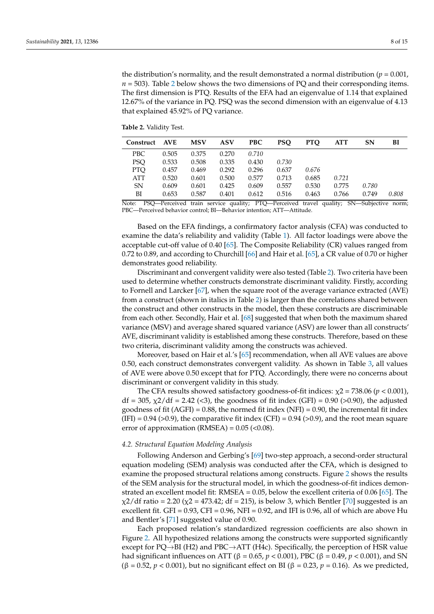the distribution's normality, and the result demonstrated a normal distribution ( $p = 0.001$ ,  $n = 503$ ). Table [2](#page-7-0) below shows the two dimensions of PQ and their corresponding items. The first dimension is PTQ. Results of the EFA had an eigenvalue of 1.14 that explained 12.67% of the variance in PQ. PSQ was the second dimension with an eigenvalue of 4.13 that explained 45.92% of PQ variance.

<span id="page-7-0"></span>**Table 2.** Validity Test.

| <b>Construct</b> | <b>AVE</b> | <b>MSV</b> | ASV   | <b>PBC</b> | PSO   | <b>PTO</b> | <b>ATT</b> | <b>SN</b> | BI    |
|------------------|------------|------------|-------|------------|-------|------------|------------|-----------|-------|
| PBC              | 0.505      | 0.375      | 0.270 | 0.710      |       |            |            |           |       |
| PSO              | 0.533      | 0.508      | 0.335 | 0.430      | 0.730 |            |            |           |       |
| PTO              | 0.457      | 0.469      | 0.292 | 0.296      | 0.637 | 0.676      |            |           |       |
| ATT              | 0.520      | 0.601      | 0.500 | 0.577      | 0.713 | 0.685      | 0.721      |           |       |
| SN               | 0.609      | 0.601      | 0.425 | 0.609      | 0.557 | 0.530      | 0.775      | 0.780     |       |
| ВI               | 0.653      | 0.587      | 0.401 | 0.612      | 0.516 | 0.463      | 0.766      | 0.749     | 0.808 |

Note: PSQ—Perceived train service quality; PTQ—Perceived travel quality; SN—Subjective norm; PBC—Perceived behavior control; BI—Behavior intention; ATT—Attitude.

Based on the EFA findings, a confirmatory factor analysis (CFA) was conducted to examine the data's reliability and validity (Table [1\)](#page-6-0). All factor loadings were above the acceptable cut-off value of 0.40 [\[65\]](#page-14-15). The Composite Reliability (CR) values ranged from 0.72 to 0.89, and according to Churchill [\[66\]](#page-14-16) and Hair et al. [\[65\]](#page-14-15), a CR value of 0.70 or higher demonstrates good reliability.

Discriminant and convergent validity were also tested (Table [2\)](#page-7-0). Two criteria have been used to determine whether constructs demonstrate discriminant validity. Firstly, according to Fornell and Larcker [\[67\]](#page-14-17), when the square root of the average variance extracted (AVE) from a construct (shown in italics in Table [2\)](#page-7-0) is larger than the correlations shared between the construct and other constructs in the model, then these constructs are discriminable from each other. Secondly, Hair et al. [\[68\]](#page-14-18) suggested that when both the maximum shared variance (MSV) and average shared squared variance (ASV) are lower than all constructs' AVE, discriminant validity is established among these constructs. Therefore, based on these two criteria, discriminant validity among the constructs was achieved.

Moreover, based on Hair et al.'s [\[65\]](#page-14-15) recommendation, when all AVE values are above 0.50, each construct demonstrates convergent validity. As shown in Table [3,](#page-8-0) all values of AVE were above 0.50 except that for PTQ. Accordingly, there were no concerns about discriminant or convergent validity in this study.

The CFA results showed satisfactory goodness-of-fit indices:  $\chi$ 2 = 738.06 (*p* < 0.001), df = 305, χ2/df = 2.42 (<3), the goodness of fit index (GFI) = 0.90 (>0.90), the adjusted goodness of fit (AGFI) =  $0.88$ , the normed fit index (NFI) =  $0.90$ , the incremental fit index  $(IFI) = 0.94$  (>0.9), the comparative fit index (CFI) = 0.94 (>0.9), and the root mean square error of approximation (RMSEA) =  $0.05$  (< $0.08$ ).

#### *4.2. Structural Equation Modeling Analysis*

Following Anderson and Gerbing's [\[69\]](#page-14-19) two-step approach, a second-order structural equation modeling (SEM) analysis was conducted after the CFA, which is designed to examine the proposed structural relations among constructs. Figure [2](#page-9-0) shows the results of the SEM analysis for the structural model, in which the goodness-of-fit indices demonstrated an excellent model fit: RMSEA = 0.05, below the excellent criteria of 0.06 [\[65\]](#page-14-15). The  $\chi$ 2/df ratio = 2.20 ( $\chi$ 2 = 473.42; df = 215), is below 3, which Bentler [\[70\]](#page-14-20) suggested is an excellent fit. GFI =  $0.93$ , CFI =  $0.96$ , NFI =  $0.92$ , and IFI is 0.96, all of which are above Hu and Bentler's [\[71\]](#page-14-21) suggested value of 0.90.

Each proposed relation's standardized regression coefficients are also shown in Figure [2.](#page-9-0) All hypothesized relations among the constructs were supported significantly except for  $PQ \rightarrow BH$  (H2) and  $PBC \rightarrow ATT$  (H4c). Specifically, the perception of HSR value had significant influences on ATT (β = 0.65,  $p < 0.001$ ), PBC (β = 0.49,  $p < 0.001$ ), and SN (β = 0.52, *p* < 0.001), but no significant effect on BI (β = 0.23, *p* = 0.16). As we predicted,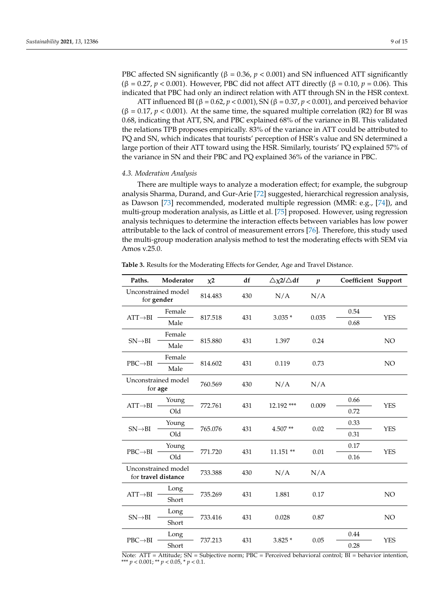PBC affected SN significantly (β = 0.36, *p* < 0.001) and SN influenced ATT significantly (β = 0.27, *p* < 0.001). However, PBC did not affect ATT directly (β = 0.10, *p* = 0.06). This indicated that PBC had only an indirect relation with ATT through SN in the HSR context.

ATT influenced BI (β = 0.62, *p* < 0.001), SN (β = 0.37, *p* < 0.001), and perceived behavior  $(\beta = 0.17, p < 0.001)$ . At the same time, the squared multiple correlation (R2) for BI was 0.68, indicating that ATT, SN, and PBC explained 68% of the variance in BI. This validated the relations TPB proposes empirically. 83% of the variance in ATT could be attributed to PQ and SN, which indicates that tourists' perception of HSR's value and SN determined a large portion of their ATT toward using the HSR. Similarly, tourists' PQ explained 57% of the variance in SN and their PBC and PQ explained 36% of the variance in PBC.

#### *4.3. Moderation Analysis*

There are multiple ways to analyze a moderation effect; for example, the subgroup analysis Sharma, Durand, and Gur-Arie [\[72\]](#page-14-22) suggested, hierarchical regression analysis, as Dawson [\[73\]](#page-14-23) recommended, moderated multiple regression (MMR: e.g., [\[74\]](#page-14-24)), and multi-group moderation analysis, as Little et al. [\[75\]](#page-14-25) proposed. However, using regression analysis techniques to determine the interaction effects between variables has low power attributable to the lack of control of measurement errors [\[76\]](#page-14-26). Therefore, this study used the multi-group moderation analysis method to test the moderating effects with SEM via Amos v.25.0.

<span id="page-8-0"></span>**Table 3.** Results for the Moderating Effects for Gender, Age and Travel Distance.

| Paths.                                 | Moderator                                  | $x^2$   | df       | $\triangle \chi$ 2/ $\triangle$ df | $\boldsymbol{p}$ | Coefficient Support |                 |
|----------------------------------------|--------------------------------------------|---------|----------|------------------------------------|------------------|---------------------|-----------------|
|                                        | Unconstrained model<br>for gender          | 814.483 | 430      | N/A                                | N/A              |                     |                 |
| Female<br>$ATT \rightarrow BI$<br>Male |                                            |         | $3.035*$ | 0.035                              | 0.54             | <b>YES</b>          |                 |
|                                        | 817.518                                    | 431     |          |                                    | 0.68             |                     |                 |
|                                        | Female                                     |         |          |                                    |                  |                     |                 |
| $SN \rightarrow BI$                    | Male                                       | 815.880 | 431      | 1.397                              | 0.24             |                     | NO              |
|                                        | Female                                     |         |          | 0.119                              | 0.73             |                     | NO <sub>1</sub> |
| $PBC \rightarrow BI$                   | Male                                       | 814.602 | 431      |                                    |                  |                     |                 |
|                                        | Unconstrained model<br>for age             | 760.569 | 430      | N/A                                | N/A              |                     |                 |
|                                        | Young                                      |         |          | 12.192 ***                         | 0.009            | 0.66                | <b>YES</b>      |
| $ATT \rightarrow BI$                   | Old                                        | 772.761 | 431      |                                    |                  | 0.72                |                 |
| $SN \rightarrow BI$                    | Young                                      | 765.076 | 431      | $4.507**$                          | 0.02             | 0.33                | <b>YES</b>      |
|                                        | Old                                        |         |          |                                    |                  | 0.31                |                 |
| Young<br>$PBC \rightarrow BI$          |                                            | 771.720 | 431      | 11.151 **                          | 0.01             | 0.17                | <b>YES</b>      |
|                                        | Old                                        |         |          |                                    |                  | 0.16                |                 |
|                                        | Unconstrained model<br>for travel distance | 733.388 | 430      | N/A                                | N/A              |                     |                 |
| Long<br>$ATT \rightarrow BI$<br>Short  |                                            |         |          |                                    |                  |                     |                 |
|                                        | 735.269                                    | 431     | 1.881    | 0.17                               |                  | NO                  |                 |
|                                        | Long                                       |         | 431      |                                    |                  |                     | NO              |
| $SN \rightarrow BI$                    | Short                                      | 733.416 |          | 0.028                              | 0.87             |                     |                 |
|                                        | Long                                       |         |          |                                    | 0.05             | 0.44                | <b>YES</b>      |
| $PBC \rightarrow BI$                   | Short                                      | 737.213 | 431      | $3.825*$                           |                  | 0.28                |                 |

Note: ATT = Attitude; SN = Subjective norm; PBC = Perceived behavioral control; BI = behavior intention, \*\*\* *p* < 0.001; \*\* *p* < 0.05, \* *p* < 0.1.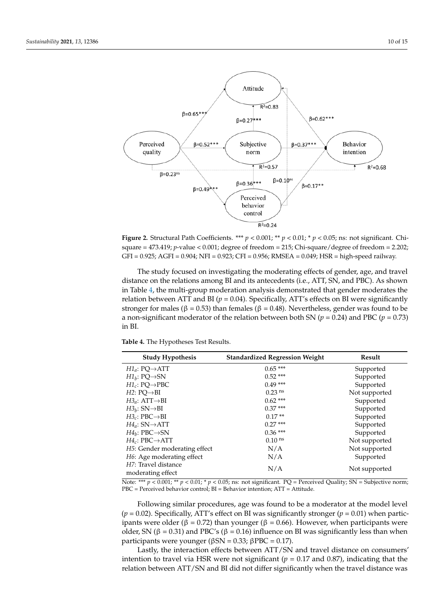<span id="page-9-0"></span>

a large portion of the HSR. Similarly, toward using the HSR. Similarly, tourists in the HSR. Similarly, touris

**Figure 2.** Structural Path Coefficients. \*\*\*  $p < 0.001$ ; \*\*  $p < 0.01$ ; \*  $p < 0.05$ ; ns: not significant. Chisquare = 473.419; *p*-value < 0.001; degree of freedom = 215; Chi-square/degree of freedom = 2.202; square = 473.419; *p*-value < 0.001; degree of freedom = 215; Chi-square/degree of freedom = 2.202; GFI = 0.925; AGFI = 0.904; NFI = 0.923; CFI = 0.956; RMSEA = 0.049; HSR = high-speed railway. GFI = 0.925; AGFI = 0.904; NFI = 0.923; CFI = 0.956; RMSEA = 0.049; HSR = high-speed railway.

The study focused on investigating the moderating effects of gender, age, and travel in Table [4,](#page-9-1) the multi-group moderation analysis demonstrated that gender moderates the relation between ATT and BI ( $p = 0.04$ ). Specifically, ATT's effects on BI were significantly stronger for males ( $\beta = 0.53$ ) than females ( $\beta = 0.48$ ). Nevertheless, gender was found to be a non-significant moderator of the relation between both SN ( $p = 0.24$ ) and PBC ( $p = 0.73$ ) and  $\sum_{k=1}^{\infty}$ distance on the relations among BI and its antecedents (i.e., ATT, SN, and PBC). As shown in BI.

<span id="page-9-1"></span>**Table 4.** The Hypotheses Test Results.

| <b>Study Hypothesis</b>                   | <b>Standardized Regression Weight</b> | Result        |
|-------------------------------------------|---------------------------------------|---------------|
| $H1_a: PO \rightarrow ATT$                | $0.65***$                             | Supported     |
| $H1_h: PQ \rightarrow SN$                 | $0.52***$                             | Supported     |
| $H1_c$ : PQ $\rightarrow$ PBC             | $0.49***$                             | Supported     |
| $H2: PO \rightarrow BI$                   | $0.23$ <sup>ns</sup>                  | Not supported |
| $H3_a$ : ATT $\rightarrow$ BI             | $0.62***$                             | Supported     |
| $H3_h$ : SN $\rightarrow$ BI              | $0.37***$                             | Supported     |
| $H3_c: PBC \rightarrow BI$                | $0.17**$                              | Supported     |
| $H4_a$ : SN $\rightarrow$ ATT             | $0.27***$                             | Supported     |
| $H4_h$ : PBC $\rightarrow$ SN             | $0.36***$                             | Supported     |
| $H4_c$ : PBC $\rightarrow$ ATT            | $0.10$ ns                             | Not supported |
| H <sub>5</sub> : Gender moderating effect | N/A                                   | Not supported |
| H6: Age moderating effect                 | N/A                                   | Supported     |
| H7: Travel distance<br>moderating effect  | N/A                                   | Not supported |

Note: \*\*\*  $p$  < 0.001; \*\*  $p$  < 0.01; \*  $p$  < 0.05; ns: not significant. PQ = Perceived Quality; SN = Subjective norm; PBC = Perceived behavior control; BI = Behavior intention; ATT = Attitude.

Following similar procedures, age was found to be a moderator at the model level  $(p = 0.02)$ . Specifically, ATT's effect on BI was significantly stronger  $(p = 0.01)$  when participants were older (β = 0.72) than younger (β = 0.66). However, when participants were older, SN ( $\beta$  = 0.31) and PBC's ( $\beta$  = 0.16) influence on BI was significantly less than when participants were younger ( $βSN = 0.33$ ;  $βPBC = 0.17$ ).

Lastly, the interaction effects between ATT/SN and travel distance on consumers' intention to travel via HSR were not significant ( $p = 0.17$  and 0.87), indicating that the relation between ATT/SN and BI did not differ significantly when the travel distance was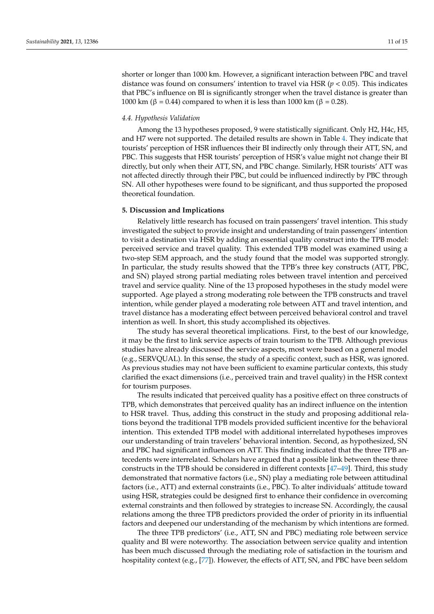shorter or longer than 1000 km. However, a significant interaction between PBC and travel distance was found on consumers' intention to travel via HSR (*p* < 0.05). This indicates that PBC's influence on BI is significantly stronger when the travel distance is greater than 1000 km (β = 0.44) compared to when it is less than 1000 km (β = 0.28).

#### *4.4. Hypothesis Validation*

Among the 13 hypotheses proposed, 9 were statistically significant. Only H2, H4c, H5, and H7 were not supported. The detailed results are shown in Table [4.](#page-9-1) They indicate that tourists' perception of HSR influences their BI indirectly only through their ATT, SN, and PBC. This suggests that HSR tourists' perception of HSR's value might not change their BI directly, but only when their ATT, SN, and PBC change. Similarly, HSR tourists' ATT was not affected directly through their PBC, but could be influenced indirectly by PBC through SN. All other hypotheses were found to be significant, and thus supported the proposed theoretical foundation.

## **5. Discussion and Implications**

Relatively little research has focused on train passengers' travel intention. This study investigated the subject to provide insight and understanding of train passengers' intention to visit a destination via HSR by adding an essential quality construct into the TPB model: perceived service and travel quality. This extended TPB model was examined using a two-step SEM approach, and the study found that the model was supported strongly. In particular, the study results showed that the TPB's three key constructs (ATT, PBC, and SN) played strong partial mediating roles between travel intention and perceived travel and service quality. Nine of the 13 proposed hypotheses in the study model were supported. Age played a strong moderating role between the TPB constructs and travel intention, while gender played a moderating role between ATT and travel intention, and travel distance has a moderating effect between perceived behavioral control and travel intention as well. In short, this study accomplished its objectives.

The study has several theoretical implications. First, to the best of our knowledge, it may be the first to link service aspects of train tourism to the TPB. Although previous studies have already discussed the service aspects, most were based on a general model (e.g., SERVQUAL). In this sense, the study of a specific context, such as HSR, was ignored. As previous studies may not have been sufficient to examine particular contexts, this study clarified the exact dimensions (i.e., perceived train and travel quality) in the HSR context for tourism purposes.

The results indicated that perceived quality has a positive effect on three constructs of TPB, which demonstrates that perceived quality has an indirect influence on the intention to HSR travel. Thus, adding this construct in the study and proposing additional relations beyond the traditional TPB models provided sufficient incentive for the behavioral intention. This extended TPB model with additional interrelated hypotheses improves our understanding of train travelers' behavioral intention. Second, as hypothesized, SN and PBC had significant influences on ATT. This finding indicated that the three TPB antecedents were interrelated. Scholars have argued that a possible link between these three constructs in the TPB should be considered in different contexts [\[47–](#page-13-27)[49\]](#page-13-28). Third, this study demonstrated that normative factors (i.e., SN) play a mediating role between attitudinal factors (i.e., ATT) and external constraints (i.e., PBC). To alter individuals' attitude toward using HSR, strategies could be designed first to enhance their confidence in overcoming external constraints and then followed by strategies to increase SN. Accordingly, the causal relations among the three TPB predictors provided the order of priority in its influential factors and deepened our understanding of the mechanism by which intentions are formed.

The three TPB predictors' (i.e., ATT, SN and PBC) mediating role between service quality and BI were noteworthy. The association between service quality and intention has been much discussed through the mediating role of satisfaction in the tourism and hospitality context (e.g., [\[77\]](#page-14-27)). However, the effects of ATT, SN, and PBC have been seldom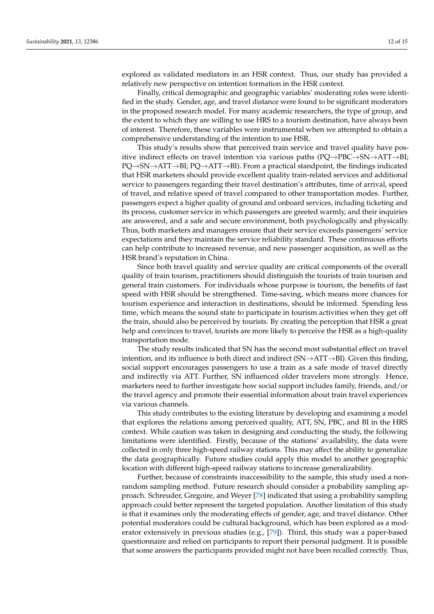explored as validated mediators in an HSR context. Thus, our study has provided a relatively new perspective on intention formation in the HSR context.

Finally, critical demographic and geographic variables' moderating roles were identified in the study. Gender, age, and travel distance were found to be significant moderators in the proposed research model. For many academic researchers, the type of group, and the extent to which they are willing to use HRS to a tourism destination, have always been of interest. Therefore, these variables were instrumental when we attempted to obtain a comprehensive understanding of the intention to use HSR.

This study's results show that perceived train service and travel quality have positive indirect effects on travel intention via various paths  $(PQ \rightarrow PBC \rightarrow SN \rightarrow ATT \rightarrow BI;$ PQ→SN→ATT→BI; PQ→ATT→BI). From a practical standpoint, the findings indicated that HSR marketers should provide excellent quality train-related services and additional service to passengers regarding their travel destination's attributes, time of arrival, speed of travel, and relative speed of travel compared to other transportation modes. Further, passengers expect a higher quality of ground and onboard services, including ticketing and its process, customer service in which passengers are greeted warmly, and their inquiries are answered, and a safe and secure environment, both psychologically and physically. Thus, both marketers and managers ensure that their service exceeds passengers' service expectations and they maintain the service reliability standard. These continuous efforts can help contribute to increased revenue, and new passenger acquisition, as well as the HSR brand's reputation in China.

Since both travel quality and service quality are critical components of the overall quality of train tourism, practitioners should distinguish the tourists of train tourism and general train customers. For individuals whose purpose is tourism, the benefits of fast speed with HSR should be strengthened. Time-saving, which means more chances for tourism experience and interaction in destinations, should be informed. Spending less time, which means the sound state to participate in tourism activities when they get off the train, should also be perceived by tourists. By creating the perception that HSR a great help and convinces to travel, tourists are more likely to perceive the HSR as a high-quality transportation mode.

The study results indicated that SN has the second most substantial effect on travel intention, and its influence is both direct and indirect  $(SN \rightarrow ATT \rightarrow BI)$ . Given this finding, social support encourages passengers to use a train as a safe mode of travel directly and indirectly via ATT. Further, SN influenced older travelers more strongly. Hence, marketers need to further investigate how social support includes family, friends, and/or the travel agency and promote their essential information about train travel experiences via various channels.

This study contributes to the existing literature by developing and examining a model that explores the relations among perceived quality, ATT, SN, PBC, and BI in the HRS context. While caution was taken in designing and conducting the study, the following limitations were identified. Firstly, because of the stations' availability, the data were collected in only three high-speed railway stations. This may affect the ability to generalize the data geographically. Future studies could apply this model to another geographic location with different high-speed railway stations to increase generalizability.

Further, because of constraints inaccessibility to the sample, this study used a nonrandom sampling method. Future research should consider a probability sampling approach. Schreuder, Gregoire, and Weyer [\[78\]](#page-14-28) indicated that using a probability sampling approach could better represent the targeted population. Another limitation of this study is that it examines only the moderating effects of gender, age, and travel distance. Other potential moderators could be cultural background, which has been explored as a moderator extensively in previous studies (e.g., [\[79\]](#page-14-29)). Third, this study was a paper-based questionnaire and relied on participants to report their personal judgment. It is possible that some answers the participants provided might not have been recalled correctly. Thus,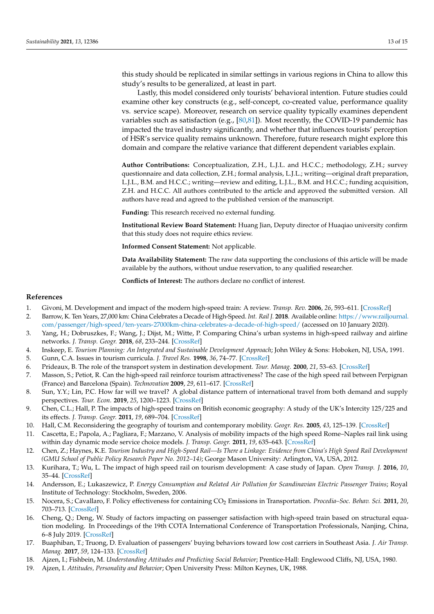this study should be replicated in similar settings in various regions in China to allow this study's results to be generalized, at least in part.

Lastly, this model considered only tourists' behavioral intention. Future studies could examine other key constructs (e.g., self-concept, co-created value, performance quality vs. service scape). Moreover, research on service quality typically examines dependent variables such as satisfaction (e.g.,  $[80,81]$  $[80,81]$ ). Most recently, the COVID-19 pandemic has impacted the travel industry significantly, and whether that influences tourists' perception of HSR's service quality remains unknown. Therefore, future research might explore this domain and compare the relative variance that different dependent variables explain.

**Author Contributions:** Conceptualization, Z.H., L.J.L. and H.C.C.; methodology, Z.H.; survey questionnaire and data collection, Z.H.; formal analysis, L.J.L.; writing—original draft preparation, L.J.L., B.M. and H.C.C.; writing—review and editing, L.J.L., B.M. and H.C.C.; funding acquisition, Z.H. and H.C.C. All authors contributed to the article and approved the submitted version. All authors have read and agreed to the published version of the manuscript.

**Funding:** This research received no external funding.

**Institutional Review Board Statement:** Huang Jian, Deputy director of Huaqiao university confirm that this study does not require ethics review.

**Informed Consent Statement:** Not applicable.

**Data Availability Statement:** The raw data supporting the conclusions of this article will be made available by the authors, without undue reservation, to any qualified researcher.

**Conflicts of Interest:** The authors declare no conflict of interest.

#### **References**

- <span id="page-12-0"></span>1. Givoni, M. Development and impact of the modern high-speed train: A review. *Transp. Rev.* **2006**, *26*, 593–611. [\[CrossRef\]](http://doi.org/10.1080/01441640600589319)
- <span id="page-12-1"></span>2. Barrow, K. Ten Years, 27,000 km: China Celebrates a Decade of High-Speed. *Int. Rail J.* **2018**. Available online: [https://www.railjournal.](https://www.railjournal.com/passenger/high-speed/ten-years-27000km-china-celebrates-a-decade-of-high-speed/) [com/passenger/high-speed/ten-years-27000km-china-celebrates-a-decade-of-high-speed/](https://www.railjournal.com/passenger/high-speed/ten-years-27000km-china-celebrates-a-decade-of-high-speed/) (accessed on 10 January 2020).
- <span id="page-12-2"></span>3. Yang, H.; Dobruszkes, F.; Wang, J.; Dijst, M.; Witte, P. Comparing China's urban systems in high-speed railway and airline networks. *J. Transp. Geogr.* **2018**, *68*, 233–244. [\[CrossRef\]](http://doi.org/10.1016/j.jtrangeo.2018.03.015)
- <span id="page-12-3"></span>4. Inskeep, E. *Tourism Planning: An Integrated and Sustainable Development Approach*; John Wiley & Sons: Hoboken, NJ, USA, 1991.
- <span id="page-12-4"></span>5. Gunn, C.A. Issues in tourism curricula. *J. Travel Res.* **1998**, *36*, 74–77. [\[CrossRef\]](http://doi.org/10.1177/004728759803600410)
- <span id="page-12-5"></span>6. Prideaux, B. The role of the transport system in destination development. *Tour. Manag.* **2000**, *21*, 53–63. [\[CrossRef\]](http://doi.org/10.1016/S0261-5177(99)00079-5)
- <span id="page-12-6"></span>7. Masson, S.; Petiot, R. Can the high-speed rail reinforce tourism attractiveness? The case of the high speed rail between Perpignan (France) and Barcelona (Spain). *Technovation* **2009**, *29*, 611–617. [\[CrossRef\]](http://doi.org/10.1016/j.technovation.2009.05.013)
- <span id="page-12-7"></span>8. Sun, Y.Y.; Lin, P.C. How far will we travel? A global distance pattern of international travel from both demand and supply perspectives. *Tour. Econ.* **2019**, *25*, 1200–1223. [\[CrossRef\]](http://doi.org/10.1177/1354816618825216)
- <span id="page-12-8"></span>9. Chen, C.L.; Hall, P. The impacts of high-speed trains on British economic geography: A study of the UK's Intercity 125/225 and its effects. *J. Transp. Geogr.* **2011**, *19*, 689–704. [\[CrossRef\]](http://doi.org/10.1016/j.jtrangeo.2010.08.010)
- 10. Hall, C.M. Reconsidering the geography of tourism and contemporary mobility. *Geogr. Res.* **2005**, *43*, 125–139. [\[CrossRef\]](http://doi.org/10.1111/j.1745-5871.2005.00308.x)
- <span id="page-12-9"></span>11. Cascetta, E.; Papola, A.; Pagliara, F.; Marzano, V. Analysis of mobility impacts of the high speed Rome–Naples rail link using within day dynamic mode service choice models. *J. Transp. Geogr.* **2011**, *19*, 635–643. [\[CrossRef\]](http://doi.org/10.1016/j.jtrangeo.2010.07.001)
- <span id="page-12-10"></span>12. Chen, Z.; Haynes, K.E. *Tourism Industry and High-Speed Rail—Is There a Linkage: Evidence from China's High Speed Rail Development (GMU School of Public Policy Research Paper No. 2012–14)*; George Mason University: Arlington, VA, USA, 2012.
- <span id="page-12-11"></span>13. Kurihara, T.; Wu, L. The impact of high speed rail on tourism development: A case study of Japan. *Open Transp. J.* **2016**, *10*, 35–44. [\[CrossRef\]](http://doi.org/10.2174/1874447801610010035)
- <span id="page-12-12"></span>14. Andersson, E.; Lukaszewicz, P. *Energy Consumption and Related Air Pollution for Scandinavian Electric Passenger Trains*; Royal Institute of Technology: Stockholm, Sweden, 2006.
- <span id="page-12-13"></span>15. Nocera, S.; Cavallaro, F. Policy effectiveness for containing CO<sub>2</sub> Emissions in Transportation. *Procedia–Soc. Behav. Sci.* 2011, 20, 703–713. [\[CrossRef\]](http://doi.org/10.1016/j.sbspro.2011.08.078)
- <span id="page-12-14"></span>16. Cheng, Q.; Deng, W. Study of factors impacting on passenger satisfaction with high-speed train based on structural equation modeling. In Proceedings of the 19th COTA International Conference of Transportation Professionals, Nanjing, China, 6–8 July 2019. [\[CrossRef\]](http://doi.org/10.1061/9780784482292.464)
- <span id="page-12-15"></span>17. Buaphiban, T.; Truong, D. Evaluation of passengers' buying behaviors toward low cost carriers in Southeast Asia. *J. Air Transp. Manag.* **2017**, *59*, 124–133. [\[CrossRef\]](http://doi.org/10.1016/j.jairtraman.2016.12.003)
- <span id="page-12-16"></span>18. Ajzen, I.; Fishbein, M. *Understanding Attitudes and Predicting Social Behavior*; Prentice-Hall: Englewood Cliffs, NJ, USA, 1980.
- <span id="page-12-17"></span>19. Ajzen, I. *Attitudes, Personality and Behavior*; Open University Press: Milton Keynes, UK, 1988.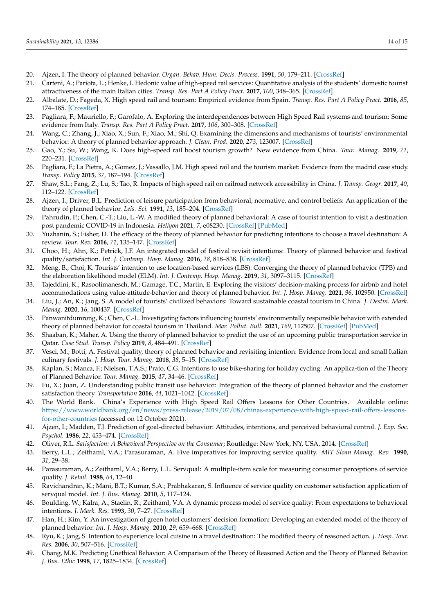- <span id="page-13-0"></span>20. Ajzen, I. The theory of planned behavior. *Organ. Behav. Hum. Decis. Process.* **1991**, *50*, 179–211. [\[CrossRef\]](http://doi.org/10.1016/0749-5978(91)90020-T)
- <span id="page-13-1"></span>21. Cartenì, A.; Pariota, L.; Henke, I. Hedonic value of high-speed rail services: Quantitative analysis of the students' domestic tourist attractiveness of the main Italian cities. *Transp. Res. Part A Policy Pract.* **2017**, *100*, 348–365. [\[CrossRef\]](http://doi.org/10.1016/j.tra.2017.04.018)
- <span id="page-13-2"></span>22. Albalate, D.; Fageda, X. High speed rail and tourism: Empirical evidence from Spain. *Transp. Res. Part A Policy Pract.* **2016**, *85*, 174–185. [\[CrossRef\]](http://doi.org/10.1016/j.tra.2016.01.009)
- <span id="page-13-4"></span>23. Pagliara, F.; Mauriello, F.; Garofalo, A. Exploring the interdependences between High Speed Rail systems and tourism: Some evidence from Italy. *Transp. Res. Part A Policy Pract.* **2017**, *106*, 300–308. [\[CrossRef\]](http://doi.org/10.1016/j.tra.2017.09.022)
- <span id="page-13-3"></span>24. Wang, C.; Zhang, J.; Xiao, X.; Sun, F.; Xiao, M.; Shi, Q. Examining the dimensions and mechanisms of tourists' environmental behavior: A theory of planned behavior approach. *J. Clean. Prod.* **2020**, *273*, 123007. [\[CrossRef\]](http://doi.org/10.1016/j.jclepro.2020.123007)
- <span id="page-13-6"></span>25. Gao, Y.; Su, W.; Wang, K. Does high-speed rail boost tourism growth? New evidence from China. *Tour. Manag.* **2019**, *72*, 220–231. [\[CrossRef\]](http://doi.org/10.1016/j.tourman.2018.12.003)
- <span id="page-13-5"></span>26. Pagliara, F.; La Pietra, A.; Gomez, J.; Vassallo, J.M. High speed rail and the tourism market: Evidence from the madrid case study. *Transp. Policy* **2015**, *37*, 187–194. [\[CrossRef\]](http://doi.org/10.1016/j.tranpol.2014.10.015)
- <span id="page-13-7"></span>27. Shaw, S.L.; Fang, Z.; Lu, S.; Tao, R. Impacts of high speed rail on railroad network accessibility in China. *J. Transp. Geogr.* **2017**, *40*, 112–122. [\[CrossRef\]](http://doi.org/10.1016/j.jtrangeo.2014.03.010)
- <span id="page-13-8"></span>28. Ajzen, I.; Driver, B.L. Prediction of leisure participation from behavioral, normative, and control beliefs: An application of the theory of planned behavior. *Leis. Sci.* **1991**, *13*, 185–204. [\[CrossRef\]](http://doi.org/10.1080/01490409109513137)
- <span id="page-13-9"></span>29. Pahrudin, P.; Chen, C.-T.; Liu, L.-W. A modified theory of planned behavioral: A case of tourist intention to visit a destination post pandemic COVID-19 in Indonesia. *Heliyon* **2021**, *7*, e08230. [\[CrossRef\]](http://doi.org/10.1016/j.heliyon.2021.e08230) [\[PubMed\]](http://www.ncbi.nlm.nih.gov/pubmed/34708160)
- <span id="page-13-10"></span>30. Yuzhanin, S.; Fisher, D. The efficacy of the theory of planned behavior for predicting intentions to choose a travel destination: A review. *Tour. Rev.* **2016**, *71*, 135–147. [\[CrossRef\]](http://doi.org/10.1108/TR-11-2015-0055)
- <span id="page-13-11"></span>31. Choo, H.; Ahn, K.; Petrick, J.F. An integrated model of festival revisit intentions: Theory of planned behavior and festival quality/satisfaction. *Int. J. Contemp. Hosp. Manag.* **2016**, *28*, 818–838. [\[CrossRef\]](http://doi.org/10.1108/IJCHM-09-2014-0448)
- <span id="page-13-12"></span>32. Meng, B.; Choi, K. Tourists' intention to use location-based services (LBS): Converging the theory of planned behavior (TPB) and the elaboration likelihood model (ELM). *Int. J. Contemp. Hosp. Manag.* **2019**, *31*, 3097–3115. [\[CrossRef\]](http://doi.org/10.1108/IJCHM-09-2018-0734)
- <span id="page-13-13"></span>33. Tajeddini, K.; Rasoolimanesch, M.; Gamage, T.C.; Martin, E. Exploring the visitors' decision-making process for airbnb and hotel accommodations using value-attitude-behavior and theory of planned behavior. *Int. J. Hosp. Manag.* **2021**, *96*, 102950. [\[CrossRef\]](http://doi.org/10.1016/j.ijhm.2021.102950)
- <span id="page-13-14"></span>34. Liu, J.; An, K.; Jang, S. A model of tourists' civilized behaviors: Toward sustainable coastal tourism in China. *J. Destin. Mark. Manag.* **2020**, *16*, 100437. [\[CrossRef\]](http://doi.org/10.1016/j.jdmm.2020.100437)
- <span id="page-13-15"></span>35. Panwanitdumrong, K.; Chen, C.-L. Investigating factors influencing tourists' environmentally responsible behavior with extended theory of planned behavior for coastal tourism in Thailand. *Mar. Pollut. Bull.* **2021**, *169*, 112507. [\[CrossRef\]](http://doi.org/10.1016/j.marpolbul.2021.112507) [\[PubMed\]](http://www.ncbi.nlm.nih.gov/pubmed/34029800)
- <span id="page-13-16"></span>36. Shaaban, K.; Maher, A. Using the theory of planned behavior to predict the use of an upcoming public transportation service in Qatar. *Case Stud. Transp. Policy* **2019**, *8*, 484–491. [\[CrossRef\]](http://doi.org/10.1016/j.cstp.2019.11.001)
- <span id="page-13-17"></span>37. Vesci, M.; Botti, A. Festival quality, theory of planned behavior and revisiting intention: Evidence from local and small Italian culinary festivals. *J. Hosp. Tour. Manag.* **2018**, *38*, 5–15. [\[CrossRef\]](http://doi.org/10.1016/j.jhtm.2018.10.003)
- <span id="page-13-18"></span>38. Kaplan, S.; Manca, F.; Nielsen, T.A.S.; Prato, C.G. Intentions to use bike-sharing for holiday cycling: An applica-tion of the Theory of Planned Behavior. *Tour. Manag.* **2015**, *47*, 34–46. [\[CrossRef\]](http://doi.org/10.1016/j.tourman.2014.08.017)
- <span id="page-13-19"></span>39. Fu, X.; Juan, Z. Understanding public transit use behavior: Integration of the theory of planned behavior and the customer satisfaction theory. *Transportation* **2016**, *44*, 1021–1042. [\[CrossRef\]](http://doi.org/10.1007/s11116-016-9692-8)
- <span id="page-13-20"></span>40. The World Bank. China's Experience with High Speed Rail Offers Lessons for Other Countries. Available online: [https://www.worldbank.org/en/news/press-release/2019/07/08/chinas-experience-with-high-speed-rail-offers-lessons](https://www.worldbank.org/en/news/press-release/2019/07/08/chinas-experience-with-high-speed-rail-offers-lessons-for-other-countries)[for-other-countries](https://www.worldbank.org/en/news/press-release/2019/07/08/chinas-experience-with-high-speed-rail-offers-lessons-for-other-countries) (accessed on 12 October 2021).
- <span id="page-13-21"></span>41. Ajzen, I.; Madden, T.J. Prediction of goal-directed behavior: Attitudes, intentions, and perceived behavioral control. *J. Exp. Soc. Psychol.* **1986**, *22*, 453–474. [\[CrossRef\]](http://doi.org/10.1016/0022-1031(86)90045-4)
- <span id="page-13-22"></span>42. Oliver, R.L. *Satisfaction: A Behavioral Perspective on the Consumer*; Routledge: New York, NY, USA, 2014. [\[CrossRef\]](http://doi.org/10.4324/9781315700892)
- <span id="page-13-23"></span>43. Berry, L.L.; Zeithaml, V.A.; Parasuraman, A. Five imperatives for improving service quality. *MIT Sloan Manag. Rev.* **1990**, *31*, 29–38.
- <span id="page-13-24"></span>44. Parasuraman, A.; Zeithaml, V.A.; Berry, L.L. Servqual: A multiple-item scale for measuring consumer perceptions of service quality. *J. Retail.* **1988**, *64*, 12–40.
- <span id="page-13-25"></span>45. Ravichandran, K.; Mani, B.T.; Kumar, S.A.; Prabhakaran, S. Influence of service quality on customer satisfaction application of servqual model. *Int. J. Bus. Manag.* **2010**, *5*, 117–124.
- <span id="page-13-26"></span>46. Boulding, W.; Kalra, A.; Staelin, R.; Zeithaml, V.A. A dynamic process model of service quality: From expectations to behavioral intentions. *J. Mark. Res.* **1993**, *30*, 7–27. [\[CrossRef\]](http://doi.org/10.1177/002224379303000102)
- <span id="page-13-27"></span>47. Han, H.; Kim, Y. An investigation of green hotel customers' decision formation: Developing an extended model of the theory of planned behavior. *Int. J. Hosp. Manag.* **2010**, *29*, 659–668. [\[CrossRef\]](http://doi.org/10.1016/j.ijhm.2010.01.001)
- <span id="page-13-29"></span>48. Ryu, K.; Jang, S. Intention to experience local cuisine in a travel destination: The modified theory of reasoned action. *J. Hosp. Tour. Res.* **2006**, *30*, 507–516. [\[CrossRef\]](http://doi.org/10.1177/1096348006287163)
- <span id="page-13-28"></span>49. Chang, M.K. Predicting Unethical Behavior: A Comparison of the Theory of Reasoned Action and the Theory of Planned Behavior. *J. Bus. Ethic* **1998**, *17*, 1825–1834. [\[CrossRef\]](http://doi.org/10.1023/A:1005721401993)